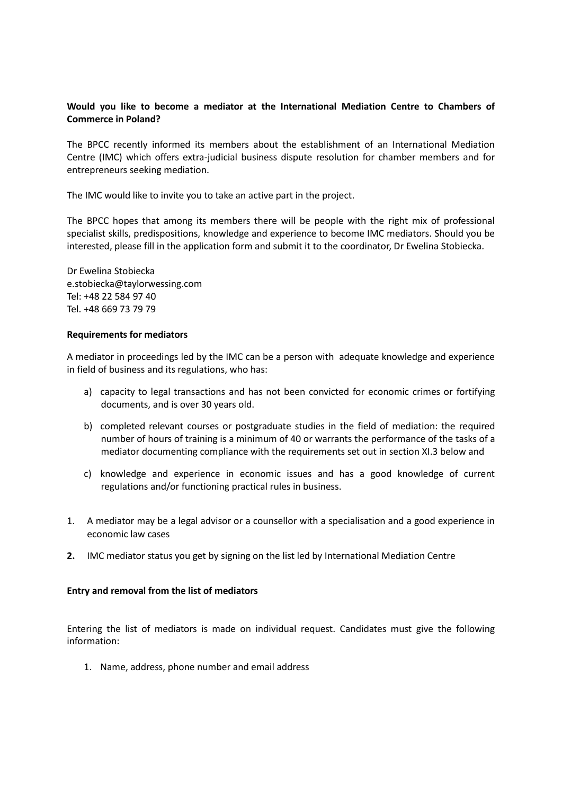## **Would you like to become a mediator at the International Mediation Centre to Chambers of Commerce in Poland?**

The BPCC recently informed its members about the establishment of an International Mediation Centre (IMC) which offers extra-judicial business dispute resolution for chamber members and for entrepreneurs seeking mediation.

The IMC would like to invite you to take an active part in the project.

The BPCC hopes that among its members there will be people with the right mix of professional specialist skills, predispositions, knowledge and experience to become IMC mediators. Should you be interested, please fill in the application form and submit it to the coordinator, Dr Ewelina Stobiecka.

Dr Ewelina Stobiecka e.stobiecka@taylorwessing.com Tel: +48 22 584 97 40 Tel. +48 669 73 79 79

## **Requirements for mediators**

A mediator in proceedings led by the IMC can be a person with adequate knowledge and experience in field of business and its regulations, who has:

- a) capacity to legal transactions and has not been convicted for economic crimes or fortifying documents, and is over 30 years old.
- b) completed relevant courses or postgraduate studies in the field of mediation: the required number of hours of training is a minimum of 40 or warrants the performance of the tasks of a mediator documenting compliance with the requirements set out in section XI.3 below and
- c) knowledge and experience in economic issues and has a good knowledge of current regulations and/or functioning practical rules in business.
- 1. A mediator may be a legal advisor or a counsellor with a specialisation and a good experience in economic law cases
- **2.** IMC mediator status you get by signing on the list led by International Mediation Centre

## **Entry and removal from the list of mediators**

Entering the list of mediators is made on individual request. Candidates must give the following information:

1. Name, address, phone number and email address